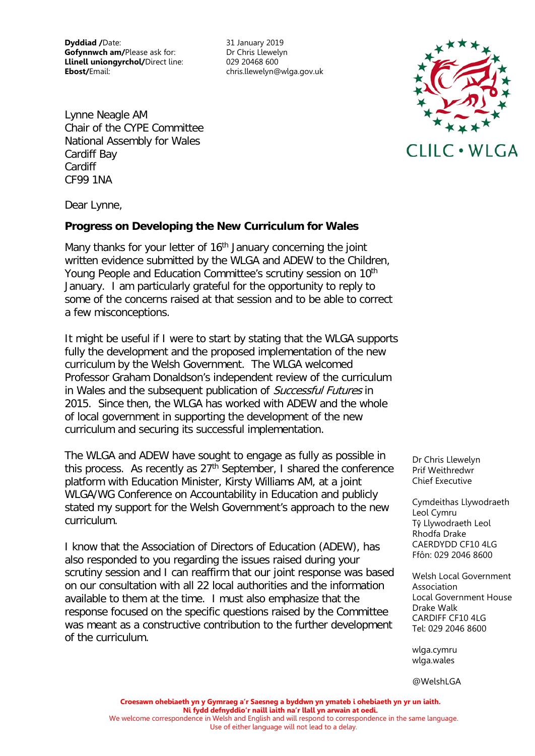**Dyddiad /**Date: 31 January 2019 **Gofynnwch am/Please ask for:** Dr Chris Llewelyn **Llinell uniongyrchol/**Direct line: 029 20468 600 **Ebost/**Email: chris.llewelyn@wlga.gov.uk

Lynne Neagle AM Chair of the CYPE Committee National Assembly for Wales Cardiff Bay Cardiff CF99 1NA



Dear Lynne,

## **Progress on Developing the New Curriculum for Wales**

Many thanks for your letter of 16<sup>th</sup> January concerning the joint written evidence submitted by the WLGA and ADEW to the Children, Young People and Education Committee's scrutiny session on 10<sup>th</sup> January. I am particularly grateful for the opportunity to reply to some of the concerns raised at that session and to be able to correct a few misconceptions.

It might be useful if I were to start by stating that the WLGA supports fully the development and the proposed implementation of the new curriculum by the Welsh Government. The WLGA welcomed Professor Graham Donaldson's independent review of the curriculum in Wales and the subsequent publication of Successful Futures in 2015. Since then, the WLGA has worked with ADEW and the whole of local government in supporting the development of the new curriculum and securing its successful implementation.

The WLGA and ADEW have sought to engage as fully as possible in this process. As recently as 27th September, I shared the conference platform with Education Minister, Kirsty Williams AM, at a joint WLGA/WG Conference on Accountability in Education and publicly stated my support for the Welsh Government's approach to the new curriculum.

I know that the Association of Directors of Education (ADEW), has also responded to you regarding the issues raised during your scrutiny session and I can reaffirm that our joint response was based on our consultation with all 22 local authorities and the information available to them at the time. I must also emphasize that the response focused on the specific questions raised by the Committee was meant as a constructive contribution to the further development of the curriculum.

Dr Chris Llewelyn Prif Weithredwr Chief Executive

Cymdeithas Llywodraeth Leol Cymru Tŷ Llywodraeth Leol Rhodfa Drake CAERDYDD CF10 4LG Ffôn: 029 2046 8600

Welsh Local Government Association Local Government House Drake Walk CARDIFF CF10 4LG Tel: 029 2046 8600

wlga.cymru wlga.wales

@WelshLGA

**Croesawn ohebiaeth yn y Gymraeg a'r Saesneg a byddwn yn ymateb i ohebiaeth yn yr un iaith. Ni fydd defnyddio'r naill iaith na'r llall yn arwain at oedi.** We welcome correspondence in Welsh and English and will respond to correspondence in the same language. Use of either language will not lead to a delay.